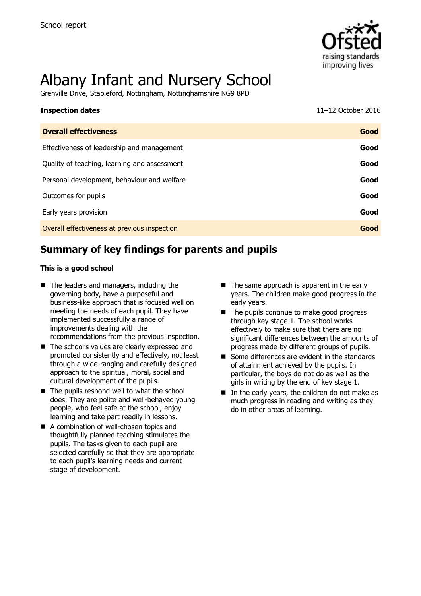

# Albany Infant and Nursery School

Grenville Drive, Stapleford, Nottingham, Nottinghamshire NG9 8PD

| <b>Inspection dates</b>                      | 11-12 October 2016 |
|----------------------------------------------|--------------------|
| <b>Overall effectiveness</b>                 | Good               |
| Effectiveness of leadership and management   | Good               |
| Quality of teaching, learning and assessment | Good               |
| Personal development, behaviour and welfare  | Good               |
| Outcomes for pupils                          | Good               |
| Early years provision                        | Good               |
| Overall effectiveness at previous inspection | Good               |
|                                              |                    |

# **Summary of key findings for parents and pupils**

#### **This is a good school**

- The leaders and managers, including the governing body, have a purposeful and business-like approach that is focused well on meeting the needs of each pupil. They have implemented successfully a range of improvements dealing with the recommendations from the previous inspection.
- The school's values are clearly expressed and promoted consistently and effectively, not least through a wide-ranging and carefully designed approach to the spiritual, moral, social and cultural development of the pupils.
- $\blacksquare$  The pupils respond well to what the school does. They are polite and well-behaved young people, who feel safe at the school, enjoy learning and take part readily in lessons.
- A combination of well-chosen topics and thoughtfully planned teaching stimulates the pupils. The tasks given to each pupil are selected carefully so that they are appropriate to each pupil's learning needs and current stage of development.
- $\blacksquare$  The same approach is apparent in the early years. The children make good progress in the early years.
- The pupils continue to make good progress through key stage 1. The school works effectively to make sure that there are no significant differences between the amounts of progress made by different groups of pupils.
- Some differences are evident in the standards of attainment achieved by the pupils. In particular, the boys do not do as well as the girls in writing by the end of key stage 1.
- $\blacksquare$  In the early years, the children do not make as much progress in reading and writing as they do in other areas of learning.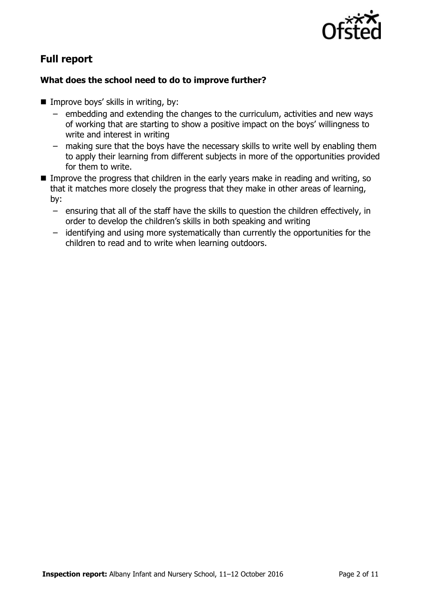

# **Full report**

### **What does the school need to do to improve further?**

- $\blacksquare$  Improve boys' skills in writing, by:
	- embedding and extending the changes to the curriculum, activities and new ways of working that are starting to show a positive impact on the boys' willingness to write and interest in writing
	- making sure that the boys have the necessary skills to write well by enabling them to apply their learning from different subjects in more of the opportunities provided for them to write.
- Improve the progress that children in the early years make in reading and writing, so that it matches more closely the progress that they make in other areas of learning, by:
	- ensuring that all of the staff have the skills to question the children effectively, in order to develop the children's skills in both speaking and writing
	- identifying and using more systematically than currently the opportunities for the children to read and to write when learning outdoors.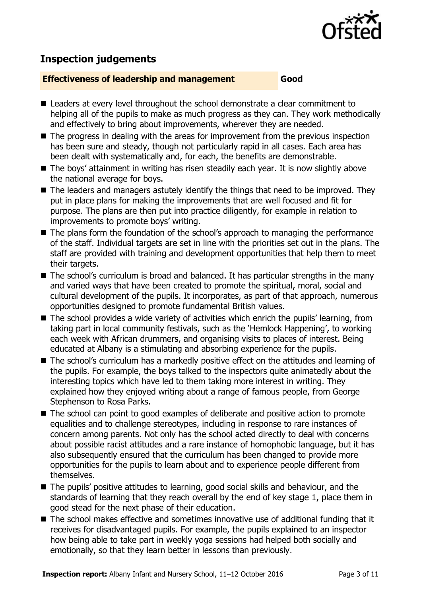

# **Inspection judgements**

#### **Effectiveness of leadership and management Good**

- Leaders at every level throughout the school demonstrate a clear commitment to helping all of the pupils to make as much progress as they can. They work methodically and effectively to bring about improvements, wherever they are needed.
- The progress in dealing with the areas for improvement from the previous inspection has been sure and steady, though not particularly rapid in all cases. Each area has been dealt with systematically and, for each, the benefits are demonstrable.
- The boys' attainment in writing has risen steadily each year. It is now slightly above the national average for boys.
- The leaders and managers astutely identify the things that need to be improved. They put in place plans for making the improvements that are well focused and fit for purpose. The plans are then put into practice diligently, for example in relation to improvements to promote boys' writing.
- The plans form the foundation of the school's approach to managing the performance of the staff. Individual targets are set in line with the priorities set out in the plans. The staff are provided with training and development opportunities that help them to meet their targets.
- The school's curriculum is broad and balanced. It has particular strengths in the many and varied ways that have been created to promote the spiritual, moral, social and cultural development of the pupils. It incorporates, as part of that approach, numerous opportunities designed to promote fundamental British values.
- The school provides a wide variety of activities which enrich the pupils' learning, from taking part in local community festivals, such as the 'Hemlock Happening', to working each week with African drummers, and organising visits to places of interest. Being educated at Albany is a stimulating and absorbing experience for the pupils.
- The school's curriculum has a markedly positive effect on the attitudes and learning of the pupils. For example, the boys talked to the inspectors quite animatedly about the interesting topics which have led to them taking more interest in writing. They explained how they enjoyed writing about a range of famous people, from George Stephenson to Rosa Parks.
- The school can point to good examples of deliberate and positive action to promote equalities and to challenge stereotypes, including in response to rare instances of concern among parents. Not only has the school acted directly to deal with concerns about possible racist attitudes and a rare instance of homophobic language, but it has also subsequently ensured that the curriculum has been changed to provide more opportunities for the pupils to learn about and to experience people different from themselves.
- The pupils' positive attitudes to learning, good social skills and behaviour, and the standards of learning that they reach overall by the end of key stage 1, place them in good stead for the next phase of their education.
- The school makes effective and sometimes innovative use of additional funding that it receives for disadvantaged pupils. For example, the pupils explained to an inspector how being able to take part in weekly yoga sessions had helped both socially and emotionally, so that they learn better in lessons than previously.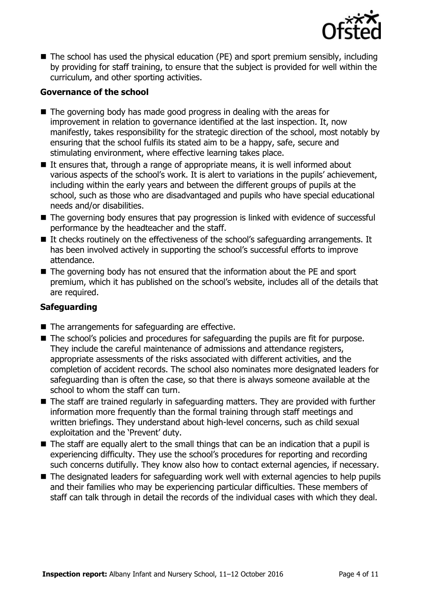

■ The school has used the physical education (PE) and sport premium sensibly, including by providing for staff training, to ensure that the subject is provided for well within the curriculum, and other sporting activities.

#### **Governance of the school**

- The governing body has made good progress in dealing with the areas for improvement in relation to governance identified at the last inspection. It, now manifestly, takes responsibility for the strategic direction of the school, most notably by ensuring that the school fulfils its stated aim to be a happy, safe, secure and stimulating environment, where effective learning takes place.
- If ensures that, through a range of appropriate means, it is well informed about various aspects of the school's work. It is alert to variations in the pupils' achievement, including within the early years and between the different groups of pupils at the school, such as those who are disadvantaged and pupils who have special educational needs and/or disabilities.
- The governing body ensures that pay progression is linked with evidence of successful performance by the headteacher and the staff.
- $\blacksquare$  It checks routinely on the effectiveness of the school's safeguarding arrangements. It has been involved actively in supporting the school's successful efforts to improve attendance.
- The governing body has not ensured that the information about the PE and sport premium, which it has published on the school's website, includes all of the details that are required.

#### **Safeguarding**

- $\blacksquare$  The arrangements for safeguarding are effective.
- The school's policies and procedures for safeguarding the pupils are fit for purpose. They include the careful maintenance of admissions and attendance registers, appropriate assessments of the risks associated with different activities, and the completion of accident records. The school also nominates more designated leaders for safeguarding than is often the case, so that there is always someone available at the school to whom the staff can turn.
- The staff are trained regularly in safeguarding matters. They are provided with further information more frequently than the formal training through staff meetings and written briefings. They understand about high-level concerns, such as child sexual exploitation and the 'Prevent' duty.
- $\blacksquare$  The staff are equally alert to the small things that can be an indication that a pupil is experiencing difficulty. They use the school's procedures for reporting and recording such concerns dutifully. They know also how to contact external agencies, if necessary.
- The designated leaders for safeguarding work well with external agencies to help pupils and their families who may be experiencing particular difficulties. These members of staff can talk through in detail the records of the individual cases with which they deal.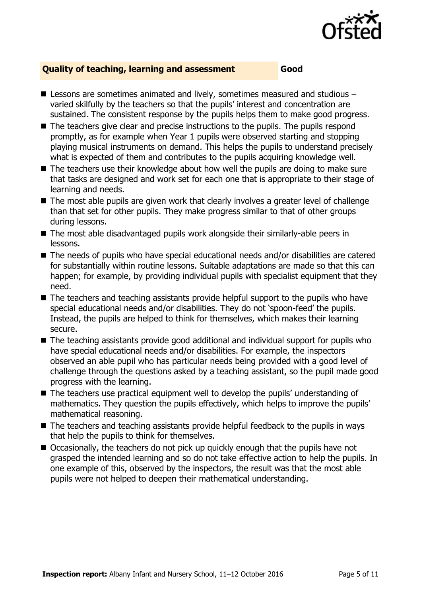

#### **Quality of teaching, learning and assessment Good**

- Lessons are sometimes animated and lively, sometimes measured and studious varied skilfully by the teachers so that the pupils' interest and concentration are sustained. The consistent response by the pupils helps them to make good progress.
- The teachers give clear and precise instructions to the pupils. The pupils respond promptly, as for example when Year 1 pupils were observed starting and stopping playing musical instruments on demand. This helps the pupils to understand precisely what is expected of them and contributes to the pupils acquiring knowledge well.
- The teachers use their knowledge about how well the pupils are doing to make sure that tasks are designed and work set for each one that is appropriate to their stage of learning and needs.
- The most able pupils are given work that clearly involves a greater level of challenge than that set for other pupils. They make progress similar to that of other groups during lessons.
- The most able disadvantaged pupils work alongside their similarly-able peers in lessons.
- The needs of pupils who have special educational needs and/or disabilities are catered for substantially within routine lessons. Suitable adaptations are made so that this can happen; for example, by providing individual pupils with specialist equipment that they need.
- The teachers and teaching assistants provide helpful support to the pupils who have special educational needs and/or disabilities. They do not 'spoon-feed' the pupils. Instead, the pupils are helped to think for themselves, which makes their learning secure.
- The teaching assistants provide good additional and individual support for pupils who have special educational needs and/or disabilities. For example, the inspectors observed an able pupil who has particular needs being provided with a good level of challenge through the questions asked by a teaching assistant, so the pupil made good progress with the learning.
- The teachers use practical equipment well to develop the pupils' understanding of mathematics. They question the pupils effectively, which helps to improve the pupils' mathematical reasoning.
- The teachers and teaching assistants provide helpful feedback to the pupils in ways that help the pupils to think for themselves.
- Occasionally, the teachers do not pick up quickly enough that the pupils have not grasped the intended learning and so do not take effective action to help the pupils. In one example of this, observed by the inspectors, the result was that the most able pupils were not helped to deepen their mathematical understanding.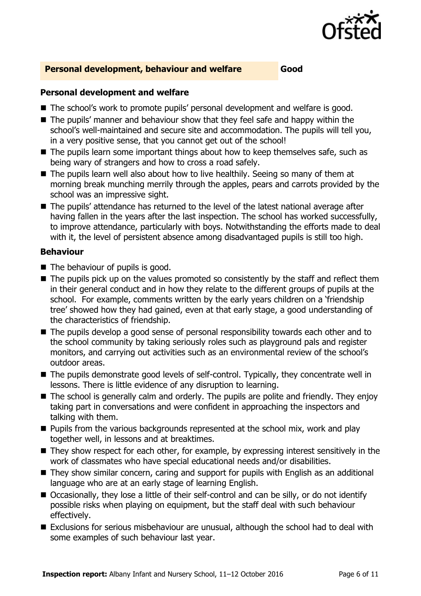

#### **Personal development, behaviour and welfare Good**

#### **Personal development and welfare**

- The school's work to promote pupils' personal development and welfare is good.
- The pupils' manner and behaviour show that they feel safe and happy within the school's well-maintained and secure site and accommodation. The pupils will tell you, in a very positive sense, that you cannot get out of the school!
- The pupils learn some important things about how to keep themselves safe, such as being wary of strangers and how to cross a road safely.
- The pupils learn well also about how to live healthily. Seeing so many of them at morning break munching merrily through the apples, pears and carrots provided by the school was an impressive sight.
- The pupils' attendance has returned to the level of the latest national average after having fallen in the years after the last inspection. The school has worked successfully, to improve attendance, particularly with boys. Notwithstanding the efforts made to deal with it, the level of persistent absence among disadvantaged pupils is still too high.

#### **Behaviour**

- The behaviour of pupils is good.
- The pupils pick up on the values promoted so consistently by the staff and reflect them in their general conduct and in how they relate to the different groups of pupils at the school. For example, comments written by the early years children on a 'friendship tree' showed how they had gained, even at that early stage, a good understanding of the characteristics of friendship.
- The pupils develop a good sense of personal responsibility towards each other and to the school community by taking seriously roles such as playground pals and register monitors, and carrying out activities such as an environmental review of the school's outdoor areas.
- The pupils demonstrate good levels of self-control. Typically, they concentrate well in lessons. There is little evidence of any disruption to learning.
- The school is generally calm and orderly. The pupils are polite and friendly. They enjoy taking part in conversations and were confident in approaching the inspectors and talking with them.
- **Pupils from the various backgrounds represented at the school mix, work and play** together well, in lessons and at breaktimes.
- They show respect for each other, for example, by expressing interest sensitively in the work of classmates who have special educational needs and/or disabilities.
- They show similar concern, caring and support for pupils with English as an additional language who are at an early stage of learning English.
- Occasionally, they lose a little of their self-control and can be silly, or do not identify possible risks when playing on equipment, but the staff deal with such behaviour effectively.
- Exclusions for serious misbehaviour are unusual, although the school had to deal with some examples of such behaviour last year.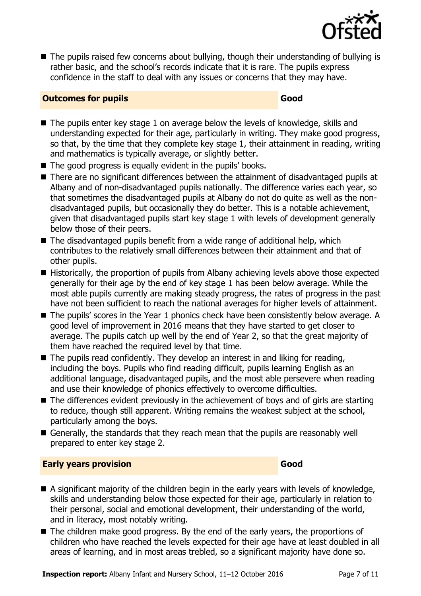

■ The pupils raised few concerns about bullying, though their understanding of bullying is rather basic, and the school's records indicate that it is rare. The pupils express confidence in the staff to deal with any issues or concerns that they may have.

#### **Outcomes for pupils Good**

- The pupils enter key stage 1 on average below the levels of knowledge, skills and understanding expected for their age, particularly in writing. They make good progress, so that, by the time that they complete key stage 1, their attainment in reading, writing and mathematics is typically average, or slightly better.
- The good progress is equally evident in the pupils' books.
- There are no significant differences between the attainment of disadvantaged pupils at Albany and of non-disadvantaged pupils nationally. The difference varies each year, so that sometimes the disadvantaged pupils at Albany do not do quite as well as the nondisadvantaged pupils, but occasionally they do better. This is a notable achievement, given that disadvantaged pupils start key stage 1 with levels of development generally below those of their peers.
- $\blacksquare$  The disadvantaged pupils benefit from a wide range of additional help, which contributes to the relatively small differences between their attainment and that of other pupils.
- Historically, the proportion of pupils from Albany achieving levels above those expected generally for their age by the end of key stage 1 has been below average. While the most able pupils currently are making steady progress, the rates of progress in the past have not been sufficient to reach the national averages for higher levels of attainment.
- The pupils' scores in the Year 1 phonics check have been consistently below average. A good level of improvement in 2016 means that they have started to get closer to average. The pupils catch up well by the end of Year 2, so that the great majority of them have reached the required level by that time.
- $\blacksquare$  The pupils read confidently. They develop an interest in and liking for reading, including the boys. Pupils who find reading difficult, pupils learning English as an additional language, disadvantaged pupils, and the most able persevere when reading and use their knowledge of phonics effectively to overcome difficulties.
- The differences evident previously in the achievement of boys and of girls are starting to reduce, though still apparent. Writing remains the weakest subject at the school, particularly among the boys.
- Generally, the standards that they reach mean that the pupils are reasonably well prepared to enter key stage 2.

#### **Early years provision Good Good**

- A significant majority of the children begin in the early years with levels of knowledge, skills and understanding below those expected for their age, particularly in relation to their personal, social and emotional development, their understanding of the world, and in literacy, most notably writing.
- $\blacksquare$  The children make good progress. By the end of the early years, the proportions of children who have reached the levels expected for their age have at least doubled in all areas of learning, and in most areas trebled, so a significant majority have done so.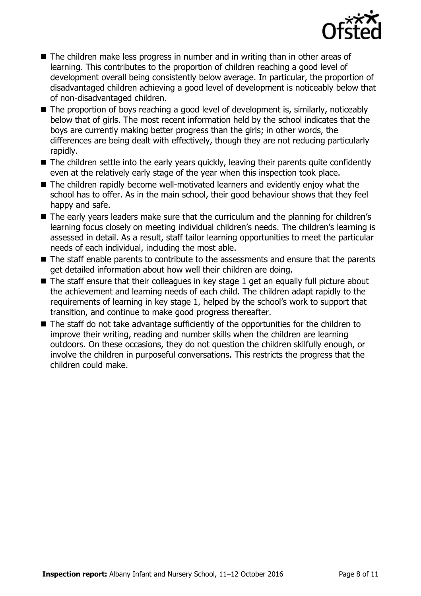

- The children make less progress in number and in writing than in other areas of learning. This contributes to the proportion of children reaching a good level of development overall being consistently below average. In particular, the proportion of disadvantaged children achieving a good level of development is noticeably below that of non-disadvantaged children.
- The proportion of boys reaching a good level of development is, similarly, noticeably below that of girls. The most recent information held by the school indicates that the boys are currently making better progress than the girls; in other words, the differences are being dealt with effectively, though they are not reducing particularly rapidly.
- The children settle into the early years quickly, leaving their parents quite confidently even at the relatively early stage of the year when this inspection took place.
- The children rapidly become well-motivated learners and evidently enjoy what the school has to offer. As in the main school, their good behaviour shows that they feel happy and safe.
- The early years leaders make sure that the curriculum and the planning for children's learning focus closely on meeting individual children's needs. The children's learning is assessed in detail. As a result, staff tailor learning opportunities to meet the particular needs of each individual, including the most able.
- The staff enable parents to contribute to the assessments and ensure that the parents get detailed information about how well their children are doing.
- $\blacksquare$  The staff ensure that their colleagues in key stage 1 get an equally full picture about the achievement and learning needs of each child. The children adapt rapidly to the requirements of learning in key stage 1, helped by the school's work to support that transition, and continue to make good progress thereafter.
- The staff do not take advantage sufficiently of the opportunities for the children to improve their writing, reading and number skills when the children are learning outdoors. On these occasions, they do not question the children skilfully enough, or involve the children in purposeful conversations. This restricts the progress that the children could make.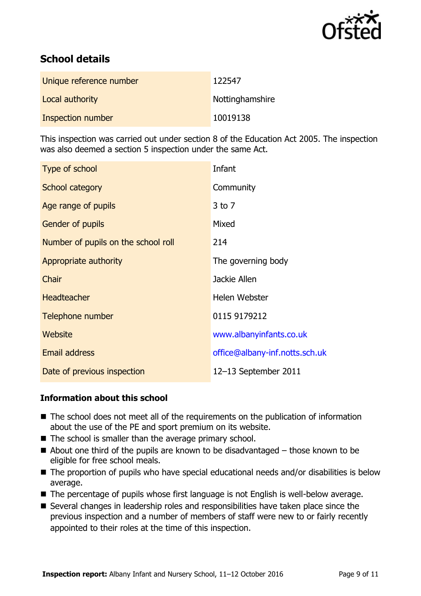

# **School details**

| Unique reference number | 122547          |
|-------------------------|-----------------|
| Local authority         | Nottinghamshire |
| Inspection number       | 10019138        |

This inspection was carried out under section 8 of the Education Act 2005. The inspection was also deemed a section 5 inspection under the same Act.

| Type of school                      | Infant                         |
|-------------------------------------|--------------------------------|
| School category                     | Community                      |
| Age range of pupils                 | $3$ to $7$                     |
| <b>Gender of pupils</b>             | Mixed                          |
| Number of pupils on the school roll | 214                            |
| Appropriate authority               | The governing body             |
| Chair                               | Jackie Allen                   |
| <b>Headteacher</b>                  | Helen Webster                  |
| Telephone number                    | 0115 9179212                   |
| Website                             | www.albanyinfants.co.uk        |
| <b>Email address</b>                | office@albany-inf.notts.sch.uk |
| Date of previous inspection         | 12-13 September 2011           |

#### **Information about this school**

- The school does not meet all of the requirements on the publication of information about the use of the PE and sport premium on its website.
- The school is smaller than the average primary school.
- $\blacksquare$  About one third of the pupils are known to be disadvantaged those known to be eligible for free school meals.
- The proportion of pupils who have special educational needs and/or disabilities is below average.
- The percentage of pupils whose first language is not English is well-below average.
- Several changes in leadership roles and responsibilities have taken place since the previous inspection and a number of members of staff were new to or fairly recently appointed to their roles at the time of this inspection.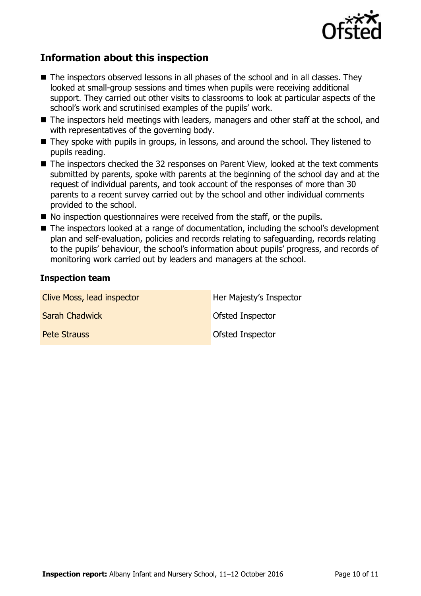

# **Information about this inspection**

- $\blacksquare$  The inspectors observed lessons in all phases of the school and in all classes. They looked at small-group sessions and times when pupils were receiving additional support. They carried out other visits to classrooms to look at particular aspects of the school's work and scrutinised examples of the pupils' work.
- The inspectors held meetings with leaders, managers and other staff at the school, and with representatives of the governing body.
- They spoke with pupils in groups, in lessons, and around the school. They listened to pupils reading.
- The inspectors checked the 32 responses on Parent View, looked at the text comments submitted by parents, spoke with parents at the beginning of the school day and at the request of individual parents, and took account of the responses of more than 30 parents to a recent survey carried out by the school and other individual comments provided to the school.
- $\blacksquare$  No inspection questionnaires were received from the staff, or the pupils.
- The inspectors looked at a range of documentation, including the school's development plan and self-evaluation, policies and records relating to safeguarding, records relating to the pupils' behaviour, the school's information about pupils' progress, and records of monitoring work carried out by leaders and managers at the school.

#### **Inspection team**

| Clive Moss, lead inspector | Her Majesty's Inspector |
|----------------------------|-------------------------|
| <b>Sarah Chadwick</b>      | <b>Ofsted Inspector</b> |
| <b>Pete Strauss</b>        | <b>Ofsted Inspector</b> |